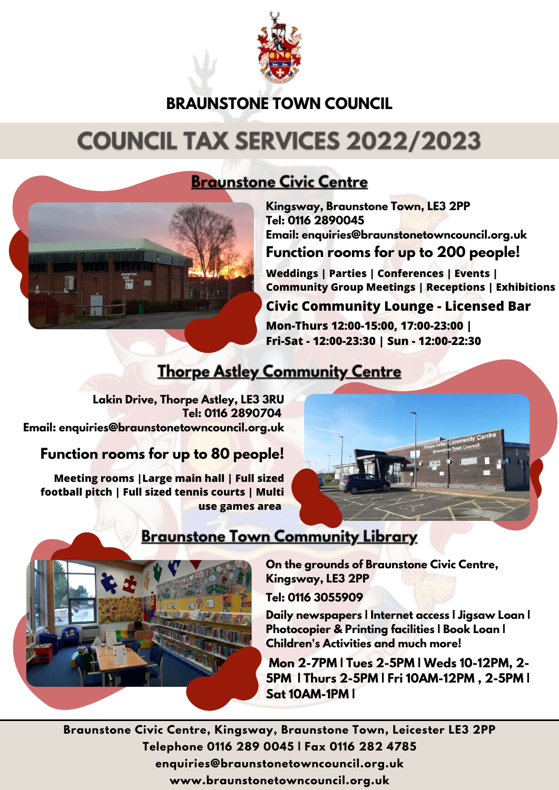

# **BRAUNSTONE TOWN COUNCIL**

# **COUNCIL TAX SERVICES 2022/2023**



**Kingsway, Braunstone Town, LE3 2PP Tel: 0116 2890045 Email: enquiries@braunstonetowncouncil.org.uk**

#### **Function rooms for up to 200 people!**

**Weddings | Parties | Conferences | Events | Community Group Meetings | Receptions | Exhibitions** 

#### **Civic Community Lounge - Licensed Bar**

**Mon-Thurs 12:00-15:00, 17:00-23:00 | Fri-Sat - 12:00-23:30 | Sun - 12:00-22:30** 

### **Thorpe Astley Community Centre**

**Lakin Drive, Thorpe Astley, LE3 3RU Tel: 0116 2890704 Email: enquiries@braunstonetowncouncil.org.uk**

### **Function rooms for up to 80 people!**

**Meeting rooms |Large main hall | Full sized football pitch | Full sized tennis courts | Multi use games area** 





### **Braunstone Town Community Library**

**On the grounds of Braunstone Civic Centre, Kingsway, LE3 2PP**

**Tel: 0116 3055909**

**Daily newspapers | Internet access | Jigsaw Loan | Photocopier & Printing facilities | Book Loan | Children's Activities and much more!**

 **Mon 2-7PM | Tues 2-5PM | Weds 10-12PM, 2- 5PM | Thurs 2-5PM | Fri 10AM-12PM , 2-5PM | Sat 10AM-1PM |** 

**Braunstone Civic Centre, Kingsway, Braunstone Town, Leicester LE3 2PP Telephone 0116 289 0045 | Fax 0116 282 4785 enquiries@braunstonetowncouncil.org.uk www.braunstonetowncouncil.org.uk**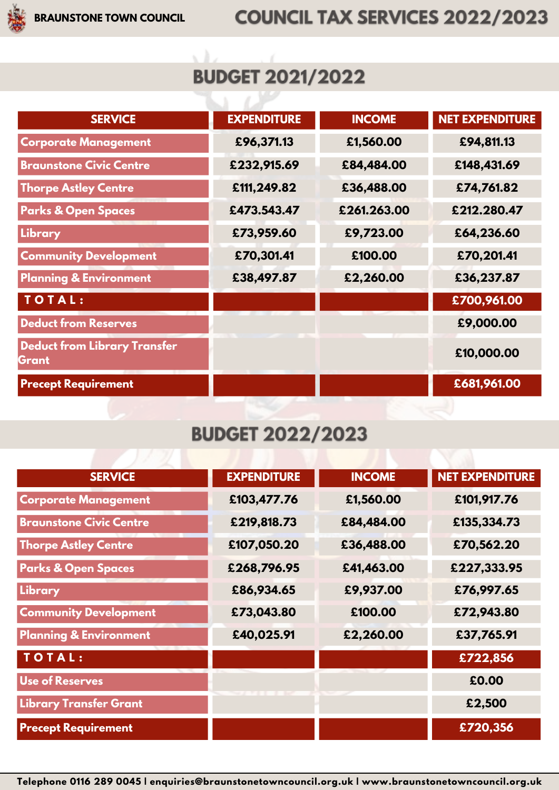# **BUDGET 2021/2022**

χà

ちょうじ

| <b>SERVICE</b>                               | <b>EXPENDITURE</b> | <b>INCOME</b> | <b>NET EXPENDITURE</b> |
|----------------------------------------------|--------------------|---------------|------------------------|
| <b>Corporate Management</b>                  | £96,371.13         | £1,560.00     | £94,811.13             |
| <b>Braunstone Civic Centre</b>               | £232,915.69        | £84,484.00    | £148,431.69            |
| <b>Thorpe Astley Centre</b>                  | £111,249.82        | £36,488.00    | £74,761.82             |
| <b>Parks &amp; Open Spaces</b>               | £473.543.47        | £261.263.00   | £212.280.47            |
| Library                                      | £73,959.60         | £9,723.00     | £64,236.60             |
| <b>Community Development</b>                 | £70,301.41         | £100.00       | £70,201.41             |
| <b>Planning &amp; Environment</b>            | £38,497.87         | £2,260.00     | £36,237.87             |
| TOTAL:                                       |                    |               | £700,961.00            |
| <b>Deduct from Reserves</b>                  |                    |               | £9,000.00              |
| <b>Deduct from Library Transfer</b><br>Grant |                    |               | £10,000.00             |
| <b>Precept Requirement</b>                   |                    |               | £681,961.00            |

# **BUDGET 2022/2023**

| <b>SERVICE</b>                    | <b>EXPENDITURE</b> | <b>INCOME</b> | <b>NET EXPENDITURE</b> |
|-----------------------------------|--------------------|---------------|------------------------|
| <b>Corporate Management</b>       | £103,477.76        | £1,560.00     | £101,917.76            |
| <b>Braunstone Civic Centre</b>    | £219,818.73        | £84,484.00    | £135,334.73            |
| <b>Thorpe Astley Centre</b>       | £107,050.20        | £36,488.00    | £70,562.20             |
| <b>Parks &amp; Open Spaces</b>    | £268,796.95        | £41,463.00    | £227,333.95            |
| Library                           | £86,934.65         | £9,937.00     | £76,997.65             |
| <b>Community Development</b>      | £73,043.80         | £100.00       | £72,943.80             |
| <b>Planning &amp; Environment</b> | £40,025.91         | £2,260.00     | £37,765.91             |
| TOTAL:                            |                    |               | £722,856               |
| <b>Use of Reserves</b>            |                    |               | £0.00                  |
| <b>Library Transfer Grant</b>     |                    |               | £2,500                 |
| <b>Precept Requirement</b>        |                    |               | £720,356               |

**Telephone 0116 289 0045 | enquiries@braunstonetowncouncil.org.uk | www.braunstonetowncouncil.org.uk**